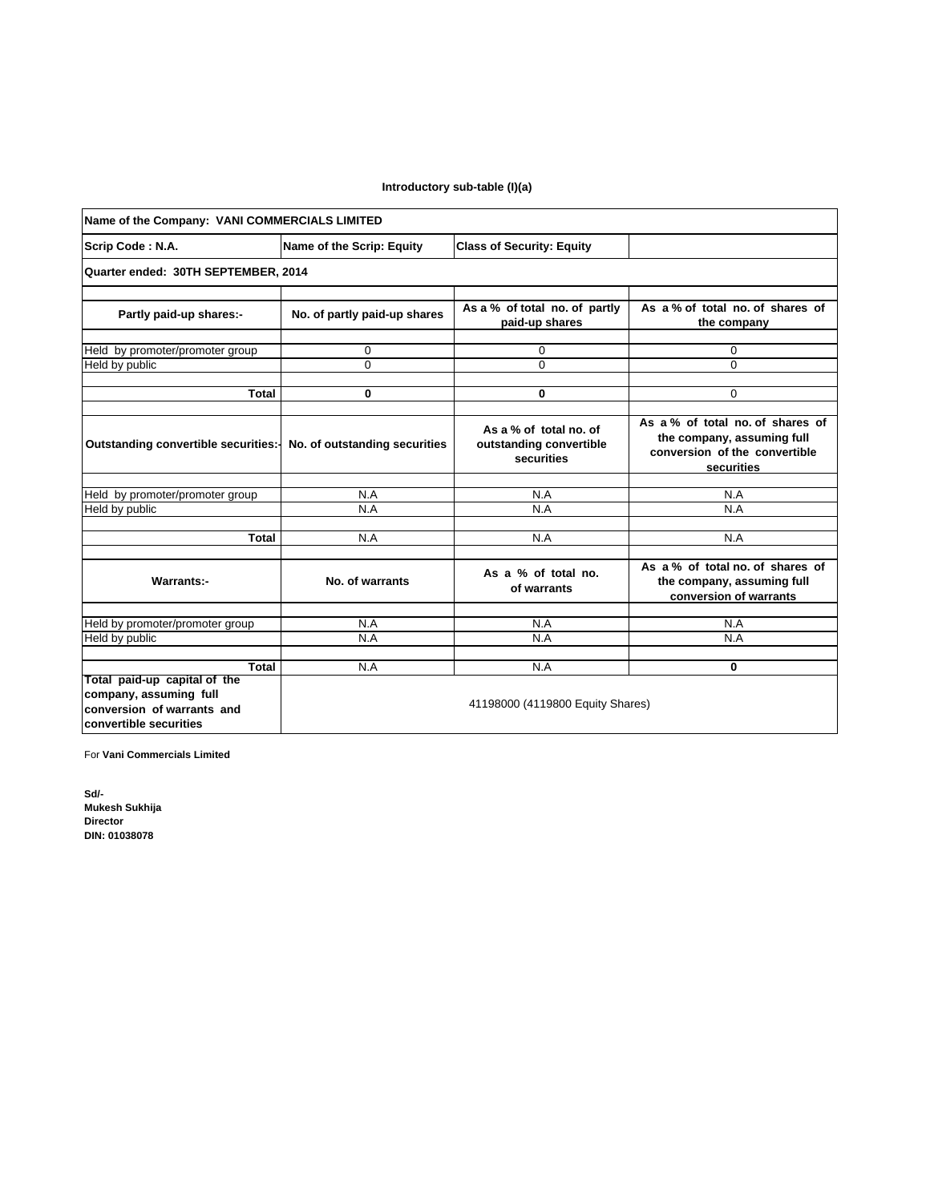## **Introductory sub-table (I)(a)**

| Name of the Company: VANI COMMERCIALS LIMITED                                                                  |                                                               |                                                                 |                                                                                                              |  |  |  |
|----------------------------------------------------------------------------------------------------------------|---------------------------------------------------------------|-----------------------------------------------------------------|--------------------------------------------------------------------------------------------------------------|--|--|--|
| Scrip Code: N.A.                                                                                               | Name of the Scrip: Equity<br><b>Class of Security: Equity</b> |                                                                 |                                                                                                              |  |  |  |
| Quarter ended: 30TH SEPTEMBER, 2014                                                                            |                                                               |                                                                 |                                                                                                              |  |  |  |
| Partly paid-up shares:-                                                                                        | No. of partly paid-up shares                                  | As a % of total no. of partly<br>paid-up shares                 | As a % of total no. of shares of<br>the company                                                              |  |  |  |
| Held by promoter/promoter group                                                                                | $\mathbf 0$                                                   | 0                                                               | 0                                                                                                            |  |  |  |
| Held by public                                                                                                 | $\Omega$                                                      | $\Omega$                                                        | $\Omega$                                                                                                     |  |  |  |
|                                                                                                                |                                                               |                                                                 |                                                                                                              |  |  |  |
| Total                                                                                                          | $\mathbf 0$                                                   | 0                                                               | $\Omega$                                                                                                     |  |  |  |
| Outstanding convertible securities:-                                                                           | No. of outstanding securities                                 | As a % of total no. of<br>outstanding convertible<br>securities | As a % of total no of shares of<br>the company, assuming full<br>conversion of the convertible<br>securities |  |  |  |
|                                                                                                                | N.A                                                           | N.A                                                             | N.A                                                                                                          |  |  |  |
| Held by promoter/promoter group<br>Held by public                                                              | N.A                                                           | N.A                                                             | N.A                                                                                                          |  |  |  |
|                                                                                                                |                                                               |                                                                 |                                                                                                              |  |  |  |
| Total                                                                                                          | N.A                                                           | N.A                                                             | N.A                                                                                                          |  |  |  |
| <b>Warrants:-</b>                                                                                              | No. of warrants                                               | As a % of total no.<br>of warrants                              | As a % of total no. of shares of<br>the company, assuming full<br>conversion of warrants                     |  |  |  |
|                                                                                                                |                                                               |                                                                 |                                                                                                              |  |  |  |
| Held by promoter/promoter group                                                                                | N.A<br>N.A                                                    | N.A<br>N.A                                                      | N.A<br>N.A                                                                                                   |  |  |  |
| Held by public                                                                                                 |                                                               |                                                                 |                                                                                                              |  |  |  |
| Total                                                                                                          | N.A                                                           | N.A                                                             | $\bf{0}$                                                                                                     |  |  |  |
| Total paid-up capital of the<br>company, assuming full<br>conversion of warrants and<br>convertible securities | 41198000 (4119800 Equity Shares)                              |                                                                 |                                                                                                              |  |  |  |

For **Vani Commercials Limited**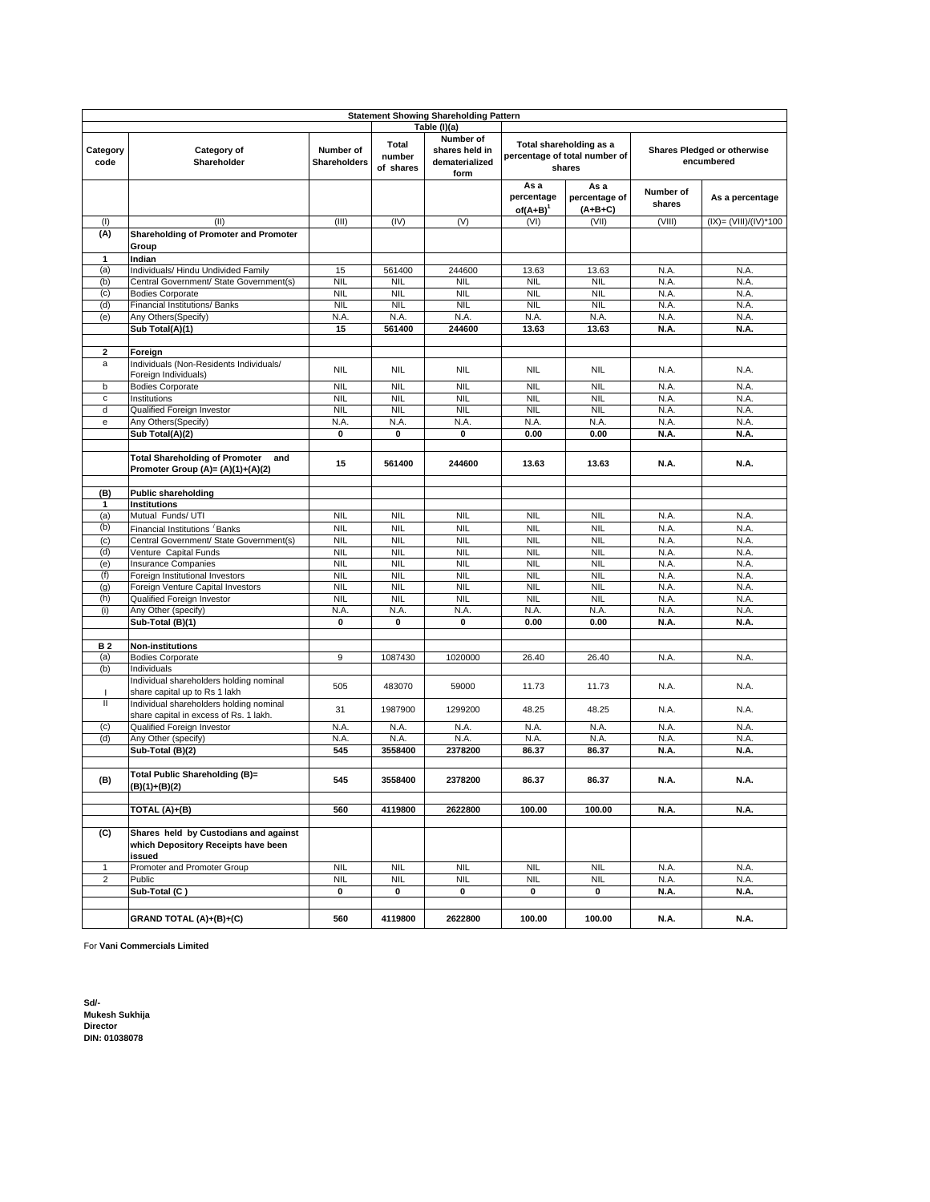|                              | <b>Statement Showing Shareholding Pattern</b>                                                                         |                           |                              |                                                       |                                                                                                                        |                                    |                     |                       |
|------------------------------|-----------------------------------------------------------------------------------------------------------------------|---------------------------|------------------------------|-------------------------------------------------------|------------------------------------------------------------------------------------------------------------------------|------------------------------------|---------------------|-----------------------|
|                              |                                                                                                                       |                           |                              | Table (I)(a)                                          |                                                                                                                        |                                    |                     |                       |
| Category<br>code             | Category of<br>Shareholder                                                                                            | Number of<br>Shareholders | Total<br>number<br>of shares | Number of<br>shares held in<br>dematerialized<br>form | Total shareholding as a<br><b>Shares Pledged or otherwise</b><br>percentage of total number of<br>encumbered<br>shares |                                    |                     |                       |
|                              |                                                                                                                       |                           |                              |                                                       | As a<br>percentage<br>$of(A+B)^{1}$                                                                                    | As a<br>percentage of<br>$(A+B+C)$ | Number of<br>shares | As a percentage       |
| (1)                          | (II)                                                                                                                  | (III)                     | (IV)                         | (V)                                                   | (VI)                                                                                                                   | (VII)                              | (VIII)              | (IX)= (VIII)/(IV)*100 |
| (A)                          | Shareholding of Promoter and Promoter<br>Group                                                                        |                           |                              |                                                       |                                                                                                                        |                                    |                     |                       |
| 1                            | Indian                                                                                                                |                           |                              |                                                       |                                                                                                                        |                                    |                     |                       |
| (a)                          | Individuals/ Hindu Undivided Family                                                                                   | 15                        | 561400                       | 244600                                                | 13.63                                                                                                                  | 13.63                              | N.A.                | N.A.                  |
| (b)                          | Central Government/ State Government(s)                                                                               | <b>NIL</b>                | <b>NIL</b>                   | <b>NIL</b>                                            | <b>NIL</b>                                                                                                             | <b>NIL</b>                         | N.A.                | N.A.                  |
| (c)                          | <b>Bodies Corporate</b>                                                                                               | <b>NIL</b>                | <b>NIL</b>                   | <b>NIL</b>                                            | <b>NIL</b>                                                                                                             | <b>NIL</b>                         | N.A.                | N.A.                  |
| (d)                          | Financial Institutions/ Banks                                                                                         | <b>NIL</b>                | <b>NIL</b>                   | <b>NIL</b>                                            | <b>NIL</b>                                                                                                             | <b>NIL</b>                         | N.A.                | N.A.                  |
| (e)                          | Any Others(Specify)                                                                                                   | N.A.                      | N.A.                         | N.A.                                                  | N.A.                                                                                                                   | N.A.                               | N.A.                | N.A.                  |
|                              | Sub Total(A)(1)                                                                                                       | 15                        | 561400                       | 244600                                                | 13.63                                                                                                                  | 13.63                              | N.A.                | N.A.                  |
|                              |                                                                                                                       |                           |                              |                                                       |                                                                                                                        |                                    |                     |                       |
| $\overline{\mathbf{2}}$<br>a | Foreign<br>Individuals (Non-Residents Individuals/<br>Foreign Individuals)                                            | <b>NIL</b>                | <b>NIL</b>                   | <b>NIL</b>                                            | <b>NIL</b>                                                                                                             | <b>NIL</b>                         | N.A.                | N.A.                  |
| b                            | <b>Bodies Corporate</b>                                                                                               | <b>NIL</b>                | <b>NIL</b>                   | <b>NIL</b>                                            | <b>NIL</b>                                                                                                             | <b>NIL</b>                         | N.A.                | N.A.                  |
| $\mathbf c$                  | Institutions                                                                                                          | <b>NIL</b>                | <b>NIL</b>                   | <b>NIL</b>                                            | <b>NIL</b>                                                                                                             | <b>NIL</b>                         | N.A.                | N.A.                  |
| d                            | Qualified Foreign Investor                                                                                            | <b>NIL</b>                | <b>NIL</b>                   | <b>NIL</b>                                            | <b>NIL</b>                                                                                                             | <b>NIL</b>                         | N.A.                | N.A.                  |
| e                            | Any Others(Specify)                                                                                                   | N.A.                      | N.A.                         | N.A.                                                  | N.A.                                                                                                                   | N.A.                               | N.A.                | N.A.                  |
|                              | Sub Total(A)(2)                                                                                                       | 0                         | 0                            | 0                                                     | 0.00                                                                                                                   | 0.00                               | N.A.                | N.A.                  |
|                              |                                                                                                                       |                           |                              |                                                       |                                                                                                                        |                                    |                     |                       |
|                              | <b>Total Shareholding of Promoter</b><br>and<br>Promoter Group (A)= (A)(1)+(A)(2)                                     | 15                        | 561400                       | 244600                                                | 13.63                                                                                                                  | 13.63                              | N.A.                | N.A.                  |
| (B)                          | <b>Public shareholding</b>                                                                                            |                           |                              |                                                       |                                                                                                                        |                                    |                     |                       |
| 1                            | <b>Institutions</b>                                                                                                   |                           |                              |                                                       |                                                                                                                        |                                    |                     |                       |
| (a)                          | Mutual Funds/ UTI                                                                                                     | <b>NIL</b>                | <b>NIL</b>                   | <b>NIL</b>                                            | <b>NIL</b>                                                                                                             | <b>NIL</b>                         | N.A.                | N.A.                  |
| (b)                          | Financial Institutions Banks                                                                                          | <b>NIL</b>                | <b>NIL</b>                   | <b>NIL</b>                                            | <b>NIL</b>                                                                                                             | <b>NIL</b>                         | N.A.                | N.A.                  |
| (c)                          | Central Government/ State Government(s)                                                                               | <b>NIL</b>                | <b>NIL</b>                   | <b>NIL</b>                                            | <b>NIL</b>                                                                                                             | <b>NIL</b>                         | N.A.                | N.A.                  |
| (d)                          | Venture Capital Funds                                                                                                 | <b>NIL</b>                | <b>NIL</b>                   | <b>NIL</b>                                            | <b>NIL</b>                                                                                                             | <b>NIL</b>                         | N.A.                | N.A.                  |
| (e)                          | <b>Insurance Companies</b>                                                                                            | <b>NIL</b>                | <b>NIL</b>                   | <b>NIL</b>                                            | <b>NIL</b>                                                                                                             | <b>NIL</b>                         | N.A.                | N.A.                  |
| (f)                          | Foreign Institutional Investors                                                                                       | <b>NIL</b>                | <b>NIL</b>                   | <b>NIL</b>                                            | <b>NIL</b>                                                                                                             | <b>NIL</b>                         | N.A.                | N.A.                  |
| (g)                          | Foreign Venture Capital Investors                                                                                     | <b>NIL</b>                | <b>NIL</b>                   | <b>NIL</b>                                            | <b>NIL</b>                                                                                                             | <b>NIL</b>                         | N.A.                | N.A.                  |
| (h)                          | Qualified Foreign Investor                                                                                            | <b>NIL</b>                | <b>NIL</b>                   | <b>NIL</b>                                            | <b>NIL</b>                                                                                                             | <b>NIL</b>                         | N.A.                | N.A.                  |
| (i)                          | Any Other (specify)                                                                                                   | N.A.                      | N.A.                         | N.A.                                                  | N.A.                                                                                                                   | N.A.                               | N.A.                | N.A.                  |
|                              | Sub-Total (B)(1)                                                                                                      | $\pmb{0}$                 | 0                            | 0                                                     | 0.00                                                                                                                   | 0.00                               | N.A.                | N.A.                  |
|                              |                                                                                                                       |                           |                              |                                                       |                                                                                                                        |                                    |                     |                       |
| B 2                          | <b>Non-institutions</b>                                                                                               |                           |                              |                                                       |                                                                                                                        |                                    |                     |                       |
| (a)                          | <b>Bodies Corporate</b>                                                                                               | 9                         | 1087430                      | 1020000                                               | 26.40                                                                                                                  | 26.40                              | N.A.                | N.A.                  |
| (b)                          | Individuals                                                                                                           |                           |                              |                                                       |                                                                                                                        |                                    |                     |                       |
| J.                           | Individual shareholders holding nominal<br>share capital up to Rs 1 lakh                                              | 505                       | 483070                       | 59000                                                 | 11.73                                                                                                                  | 11.73                              | N.A.                | N.A.                  |
| $\mathbf{II}$                | Individual shareholders holding nominal<br>share capital in excess of Rs. 1 lakh.                                     | 31                        | 1987900                      | 1299200                                               | 48.25                                                                                                                  | 48.25                              | N.A.                | N.A.                  |
| (c)                          | Qualified Foreign Investor                                                                                            | N.A.                      | N.A.                         | N.A.                                                  | N.A.                                                                                                                   | N.A.                               | N.A.                | N.A.                  |
| (d)                          | Any Other (specify)                                                                                                   | N.A.                      | N.A                          | N.A.                                                  | N.A.                                                                                                                   | N.A.                               | N.A.                | N.A.                  |
|                              | Sub-Total (B)(2)                                                                                                      | 545                       | 3558400                      | 2378200                                               | 86.37                                                                                                                  | 86.37                              | N.A.                | N.A.                  |
| (B)                          | Total Public Shareholding (B)=<br>$(B)(1)+(B)(2)$                                                                     | 545                       | 3558400                      | 2378200                                               | 86.37                                                                                                                  | 86.37                              | N.A.                | N.A.                  |
|                              | TOTAL (A)+(B)                                                                                                         | 560                       | 4119800                      | 2622800                                               | 100.00                                                                                                                 | 100.00                             | N.A.                | N.A.                  |
|                              |                                                                                                                       |                           |                              |                                                       |                                                                                                                        |                                    |                     |                       |
| (C)<br>$\mathbf{1}$          | Shares held by Custodians and against<br>which Depository Receipts have been<br>issued<br>Promoter and Promoter Group | <b>NIL</b>                | <b>NIL</b>                   | <b>NIL</b>                                            | <b>NIL</b>                                                                                                             | <b>NIL</b>                         | N.A.                | N.A.                  |
| $\overline{\mathbf{c}}$      | Public                                                                                                                | <b>NIL</b>                | <b>NIL</b>                   | <b>NIL</b>                                            | <b>NIL</b>                                                                                                             | <b>NIL</b>                         | N.A.                | N.A.                  |
|                              | Sub-Total (C)                                                                                                         | 0                         | 0                            | 0                                                     | 0                                                                                                                      | 0                                  | N.A.                | N.A.                  |
|                              |                                                                                                                       |                           |                              |                                                       |                                                                                                                        |                                    |                     |                       |
|                              | GRAND TOTAL (A)+(B)+(C)                                                                                               | 560                       | 4119800                      | 2622800                                               | 100.00                                                                                                                 | 100.00                             | N.A.                | N.A.                  |

For **Vani Commercials Limited**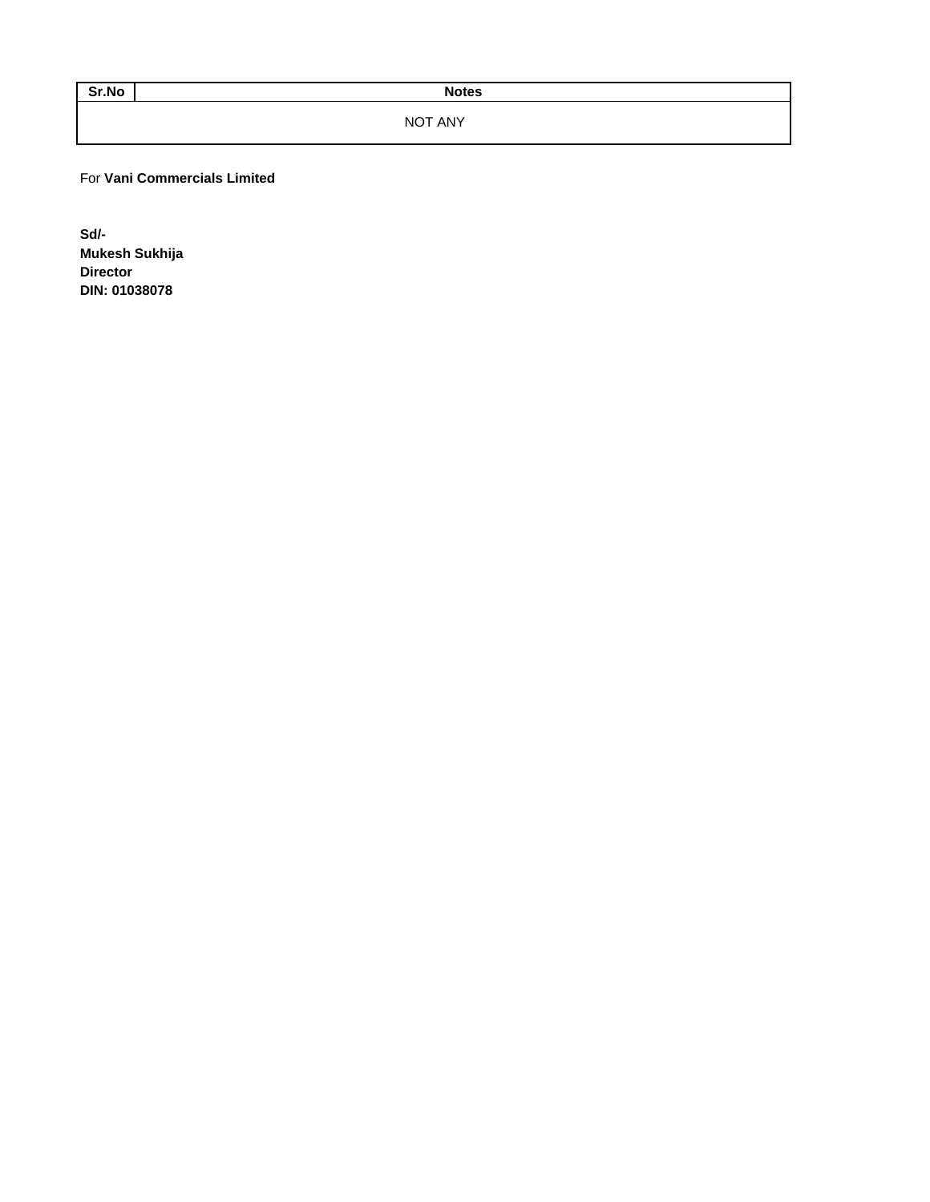Sr.No Notes

NOT ANY

For **Vani Commercials Limited**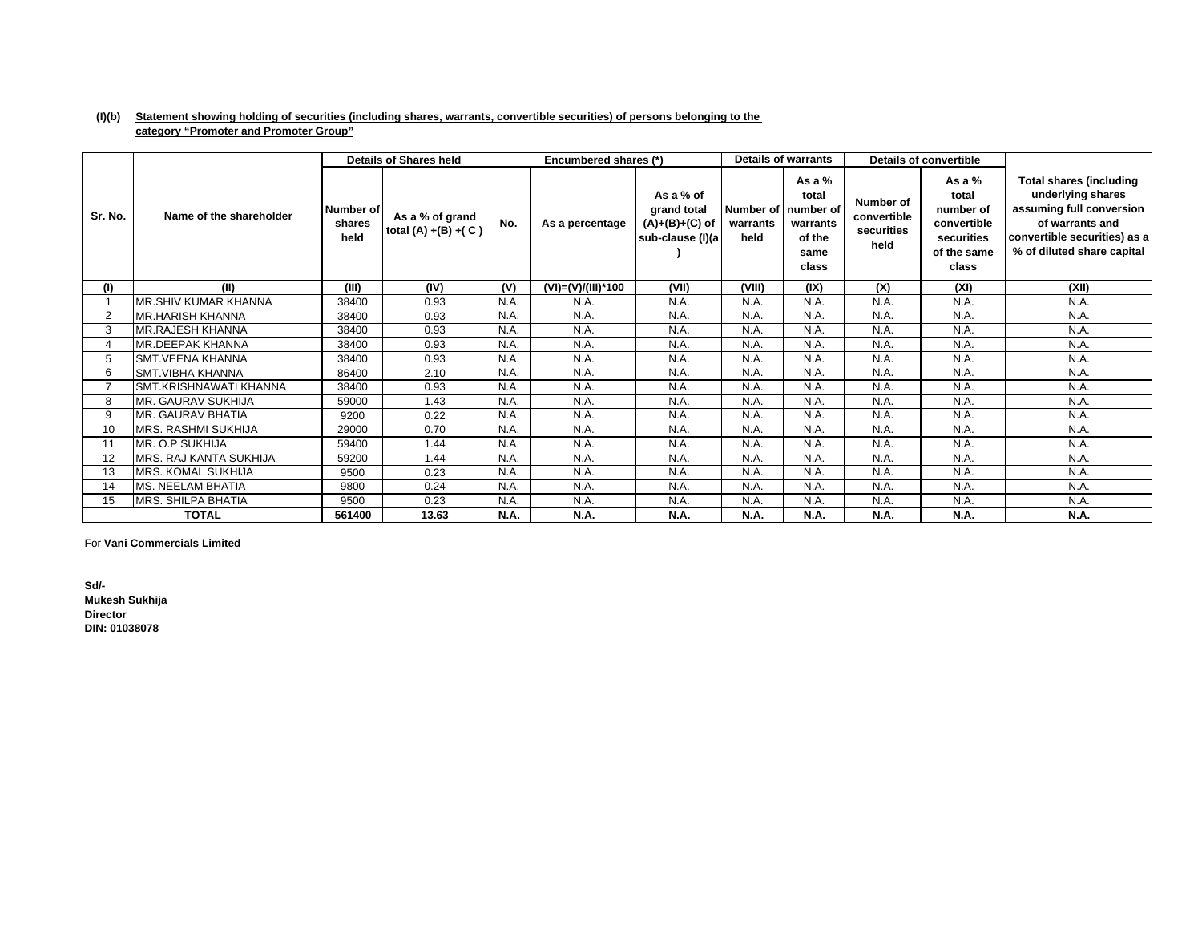### **(I)(b) Statement showing holding of securities (including shares, warrants, convertible securities) of persons belonging to the category "Promoter and Promoter Group"**

|         |                            |                             | <b>Details of Shares held</b>              |             | Encumbered shares (*) |                                                                  |                  | <b>Details of warrants</b>                                                        |                                                | <b>Details of convertible</b>                                                       |                                                                                                                                                                  |
|---------|----------------------------|-----------------------------|--------------------------------------------|-------------|-----------------------|------------------------------------------------------------------|------------------|-----------------------------------------------------------------------------------|------------------------------------------------|-------------------------------------------------------------------------------------|------------------------------------------------------------------------------------------------------------------------------------------------------------------|
| Sr. No. | Name of the shareholder    | Number of<br>shares<br>held | As a % of grand<br>total $(A) + (B) + (C)$ | No.         | As a percentage       | As a % of<br>grand total<br>$(A)+(B)+(C)$ of<br>sub-clause (I)(a | warrants<br>held | As a $%$<br>total<br>Number of I number of<br>warrants<br>of the<br>same<br>class | Number of<br>convertible<br>securities<br>held | As a $%$<br>total<br>number of<br>convertible<br>securities<br>of the same<br>class | <b>Total shares (including</b><br>underlying shares<br>assuming full conversion<br>of warrants and<br>convertible securities) as a<br>% of diluted share capital |
| (1)     | (II)                       | (III)                       | (IV)                                       | (V)         | (VI)=(V)/(III)*100    | (VII)                                                            | (VIII)           | (IX)                                                                              | (X)                                            | (XI)                                                                                | (XII)                                                                                                                                                            |
|         | MR.SHIV KUMAR KHANNA       | 38400                       | 0.93                                       | N.A.        | N.A.                  | N.A.                                                             | N.A.             | N.A.                                                                              | N.A.                                           | N.A.                                                                                | N.A.                                                                                                                                                             |
| 2       | MR.HARISH KHANNA           | 38400                       | 0.93                                       | N.A.        | N.A.                  | N.A.                                                             | N.A.             | N.A.                                                                              | N.A.                                           | N.A.                                                                                | N.A.                                                                                                                                                             |
| 3       | MR.RAJESH KHANNA           | 38400                       | 0.93                                       | N.A.        | N.A.                  | N.A.                                                             | N.A.             | N.A.                                                                              | N.A.                                           | N.A.                                                                                | N.A.                                                                                                                                                             |
|         | MR.DEEPAK KHANNA           | 38400                       | 0.93                                       | N.A.        | N.A.                  | N.A.                                                             | N.A              | N.A.                                                                              | N.A.                                           | N.A.                                                                                | N.A.                                                                                                                                                             |
| 5       | <b>SMT.VEENA KHANNA</b>    | 38400                       | 0.93                                       | N.A.        | N.A.                  | N.A.                                                             | N.A.             | N.A.                                                                              | N.A.                                           | N.A.                                                                                | N.A.                                                                                                                                                             |
| 6       | <b>SMT.VIBHA KHANNA</b>    | 86400                       | 2.10                                       | N.A.        | N.A.                  | N.A.                                                             | N.A.             | N.A.                                                                              | N.A.                                           | N.A.                                                                                | N.A.                                                                                                                                                             |
|         | SMT.KRISHNAWATI KHANNA     | 38400                       | 0.93                                       | N.A.        | N.A.                  | N.A.                                                             | N.A.             | N.A.                                                                              | N.A.                                           | N.A.                                                                                | N.A.                                                                                                                                                             |
| 8       | MR. GAURAV SUKHIJA         | 59000                       | 1.43                                       | N.A.        | N.A.                  | N.A.                                                             | N.A.             | N.A.                                                                              | N.A.                                           | N.A.                                                                                | N.A.                                                                                                                                                             |
| 9       | MR. GAURAV BHATIA          | 9200                        | 0.22                                       | N.A.        | N.A.                  | N.A.                                                             | N.A.             | N.A.                                                                              | N.A.                                           | N.A.                                                                                | N.A.                                                                                                                                                             |
| 10      | <b>MRS. RASHMI SUKHIJA</b> | 29000                       | 0.70                                       | N.A.        | N.A.                  | N.A.                                                             | N.A.             | N.A.                                                                              | N.A.                                           | N.A.                                                                                | N.A.                                                                                                                                                             |
|         | MR. O.P SUKHIJA            | 59400                       | 1.44                                       | N.A.        | N.A.                  | N.A.                                                             | N.A              | N.A.                                                                              | N.A.                                           | N.A.                                                                                | N.A.                                                                                                                                                             |
| 12      | MRS. RAJ KANTA SUKHIJA     | 59200                       | 1.44                                       | N.A.        | N.A.                  | N.A.                                                             | N.A.             | N.A.                                                                              | N.A.                                           | N.A.                                                                                | N.A.                                                                                                                                                             |
| 13      | MRS. KOMAL SUKHIJA         | 9500                        | 0.23                                       | N.A.        | N.A.                  | N.A.                                                             | N.A.             | N.A.                                                                              | N.A.                                           | N.A.                                                                                | N.A.                                                                                                                                                             |
| 14      | MS. NEELAM BHATIA          | 9800                        | 0.24                                       | N.A.        | N.A.                  | N.A.                                                             | N.A.             | N.A.                                                                              | N.A.                                           | N.A.                                                                                | N.A.                                                                                                                                                             |
| 15      | MRS. SHILPA BHATIA         | 9500                        | 0.23                                       | N.A.        | N.A.                  | N.A.                                                             | N.A.             | N.A.                                                                              | N.A.                                           | N.A.                                                                                | N.A.                                                                                                                                                             |
|         | <b>TOTAL</b>               | 561400                      | 13.63                                      | <b>N.A.</b> | N.A.                  | N.A.                                                             | <b>N.A.</b>      | N.A.                                                                              | N.A.                                           | N.A.                                                                                | N.A.                                                                                                                                                             |

For **Vani Commercials Limited**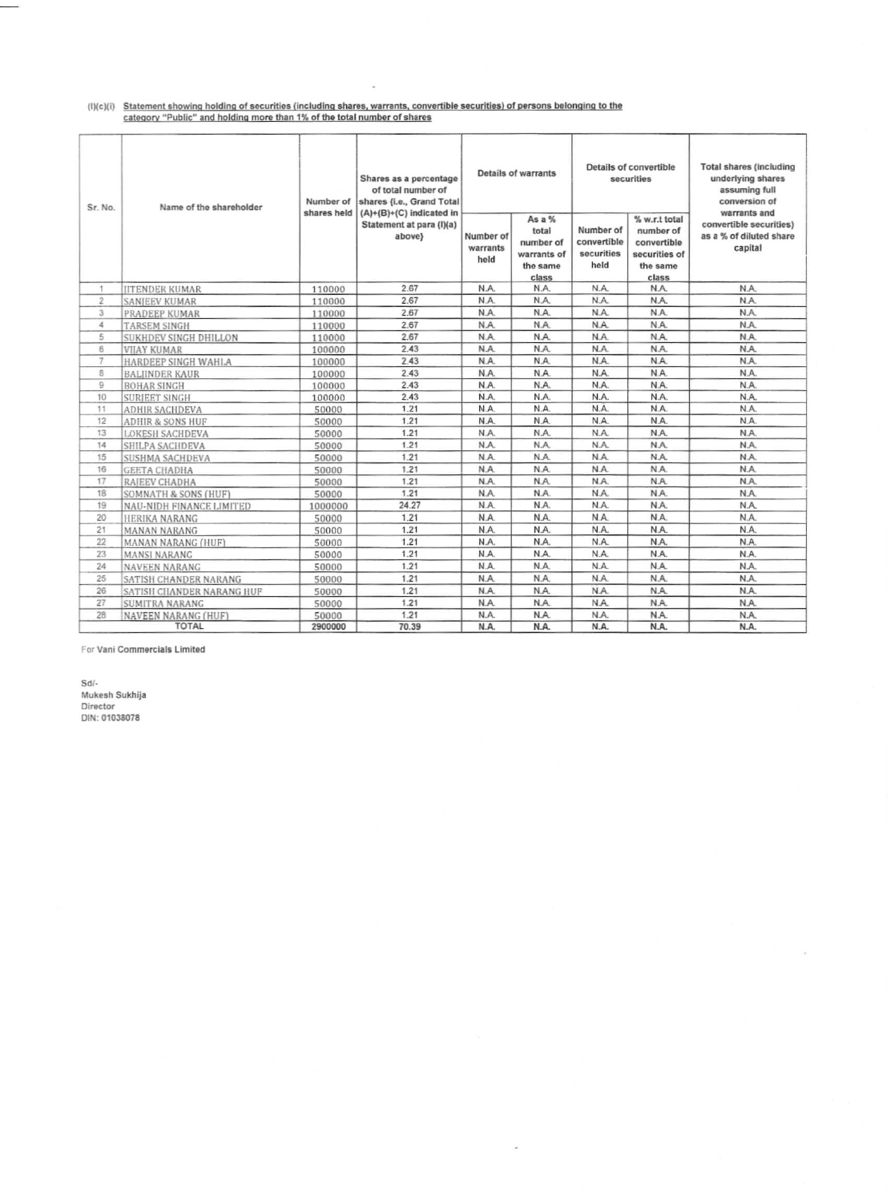# (I)(c)(i) Statement showing holding of securities (including shares, warrants, convertible securities) of persons belonging to the category "Public" and holding more than 1% of the total number of shares

| Sr. No.        | Name of the shareholder     |         | Shares as a percentage<br>of total number of<br>Number of<br>shares {i.e., Grand Total<br>shares held<br>$(A)+(B)+(C)$ indicated in |                               | <b>Details of warrants</b>                                       |                                                | Details of convertible<br>securities                                            | <b>Total shares (including</b><br>underlying shares<br>assuming full<br>conversion of<br>warrants and |
|----------------|-----------------------------|---------|-------------------------------------------------------------------------------------------------------------------------------------|-------------------------------|------------------------------------------------------------------|------------------------------------------------|---------------------------------------------------------------------------------|-------------------------------------------------------------------------------------------------------|
|                |                             |         | Statement at para (I)(a)<br>above}                                                                                                  | Number of<br>warrants<br>held | As a %<br>total<br>number of<br>warrants of<br>the same<br>class | Number of<br>convertible<br>securities<br>held | % w.r.t total<br>number of<br>convertible<br>securities of<br>the same<br>class | convertible securities)<br>as a % of diluted share<br>capital                                         |
| 1              | <b>IITENDER KUMAR</b>       | 110000  | 2.67                                                                                                                                | N.A.                          | N.A.                                                             | N.A.                                           | N.A.                                                                            | N.A.                                                                                                  |
| $\overline{2}$ | SANJEEV KUMAR               | 110000  | 2.67                                                                                                                                | N.A.                          | N.A.                                                             | N.A.                                           | N.A.                                                                            | N.A.                                                                                                  |
| 3              | PRADEEP KUMAR               | 110000  | 2.67                                                                                                                                | N.A.                          | N.A.                                                             | N.A.                                           | N.A                                                                             | N.A.                                                                                                  |
| 4              | <b>TARSEM SINGH</b>         | 110000  | 2.67                                                                                                                                | N.A.                          | N.A.                                                             | N.A.                                           | N.A.                                                                            | N.A.                                                                                                  |
| 5              | SUKHDEV SINGH DHILLON       | 110000  | 2.67                                                                                                                                | N.A.                          | N.A.                                                             | N.A.                                           | N.A.                                                                            | N.A.                                                                                                  |
| 6              | <b>VIIAY KUMAR</b>          | 100000  | 2.43                                                                                                                                | N.A.                          | N.A.                                                             | N.A.                                           | N.A.                                                                            | N.A.                                                                                                  |
| $\overline{7}$ | HARDEEP SINGH WAHLA         | 100000  | 2.43                                                                                                                                | N.A.                          | N.A.                                                             | N.A.                                           | N.A.                                                                            | N.A.                                                                                                  |
| 8              | <b>BALJINDER KAUR</b>       | 100000  | 2.43                                                                                                                                | N.A.                          | N.A.                                                             | N.A.                                           | N.A.                                                                            | N.A.                                                                                                  |
| 9              | <b>BOHAR SINGH</b>          | 100000  | 2.43                                                                                                                                | N.A.                          | N.A.                                                             | N.A.                                           | N.A.                                                                            | N.A.                                                                                                  |
| 10             | <b>SURIEET SINGH</b>        | 100000  | 2.43                                                                                                                                | N.A.                          | N.A.                                                             | N.A.                                           | N.A.                                                                            | N.A.                                                                                                  |
| 11             | <b>ADHIR SACHDEVA</b>       | 50000   | 1.21                                                                                                                                | N.A.                          | N.A.                                                             | N.A.                                           | N.A.                                                                            | N.A.                                                                                                  |
| 12             | <b>ADHIR &amp; SONS HUF</b> | 50000   | 1.21                                                                                                                                | N.A.                          | N.A.                                                             | N.A.                                           | N.A.                                                                            | N.A.                                                                                                  |
| 13             | <b>LOKESH SACHDEVA</b>      | 50000   | 1.21                                                                                                                                | N.A.                          | N.A.                                                             | N.A.                                           | N.A.                                                                            | N.A.                                                                                                  |
| 14             | SHILPA SACHDEVA             | 50000   | 1.21                                                                                                                                | N.A.                          | N.A.                                                             | N.A.                                           | N.A.                                                                            | N.A.                                                                                                  |
| 15             | SUSHMA SACHDEVA             | 50000   | 1.21                                                                                                                                | N.A.                          | N.A.                                                             | N.A.                                           | N.A.                                                                            | N.A.                                                                                                  |
| 16             | <b>GEETA CHADHA</b>         | 50000   | 1.21                                                                                                                                | N.A.                          | N.A.                                                             | N.A.                                           | N.A.                                                                            | N.A.                                                                                                  |
| 17             | RAJEEV CHADHA               | 50000   | 1.21                                                                                                                                | N.A.                          | N.A.                                                             | N.A.                                           | N.A.                                                                            | N.A.                                                                                                  |
| 18             | SOMNATH & SONS (HUF)        | 50000   | 1.21                                                                                                                                | N.A.                          | N.A.                                                             | N.A.                                           | N.A.                                                                            | N.A.                                                                                                  |
| 19             | NAU-NIDH FINANCE LIMITED    | 1000000 | 24.27                                                                                                                               | N.A.                          | N.A.                                                             | N.A.                                           | N.A.                                                                            | N.A.                                                                                                  |
| 20             | HERIKA NARANG               | 50000   | 1.21                                                                                                                                | N.A.                          | N.A.                                                             | NA.                                            | N.A.                                                                            | N.A.                                                                                                  |
| 21             | MANAN NARANG                | 50000   | 1.21                                                                                                                                | N.A.                          | N.A.                                                             | N.A.                                           | N.A.                                                                            | N.A.                                                                                                  |
| 22             | MANAN NARANG (HUF)          | 50000   | 1.21                                                                                                                                | N.A.                          | N.A.                                                             | N.A.                                           | N.A.                                                                            | N.A.                                                                                                  |
| 23             | MANSI NARANG                | 50000   | 1.21                                                                                                                                | N.A.                          | N.A.                                                             | N.A.                                           | N.A.                                                                            | N.A.                                                                                                  |
| 24             | NAVEEN NARANG               | 50000   | 1.21                                                                                                                                | N.A.                          | N.A.                                                             | N.A.                                           | N.A.                                                                            | N.A.                                                                                                  |
| 25             | SATISH CHANDER NARANG       | 50000   | 1.21                                                                                                                                | N.A.                          | N.A.                                                             | N.A.                                           | N.A.                                                                            | N.A.                                                                                                  |
| 26             | SATISH CHANDER NARANG HUF   | 50000   | 1.21                                                                                                                                | N.A.                          | N.A.                                                             | N.A.                                           | N.A.                                                                            | N.A.                                                                                                  |
| 27             | <b>SUMITRA NARANG</b>       | 50000   | 1.21                                                                                                                                | N.A.                          | N.A.                                                             | N.A.                                           | N.A.                                                                            | N.A.                                                                                                  |
| 28             | NAVEEN NARANG (HUF)         | 50000   | 1.21                                                                                                                                | N.A.                          | N.A.                                                             | N.A.                                           | N.A.                                                                            | N.A.                                                                                                  |
|                | <b>TOTAL</b>                | 2900000 | 70.39                                                                                                                               | N.A.                          | N.A.                                                             | N.A.                                           | N.A.                                                                            | N.A.                                                                                                  |

 $\lambda$ 

For Vani Commercials Limited

 $Sd/-$ Mukesh Sukhija<br>Director<br>DIN: 01038078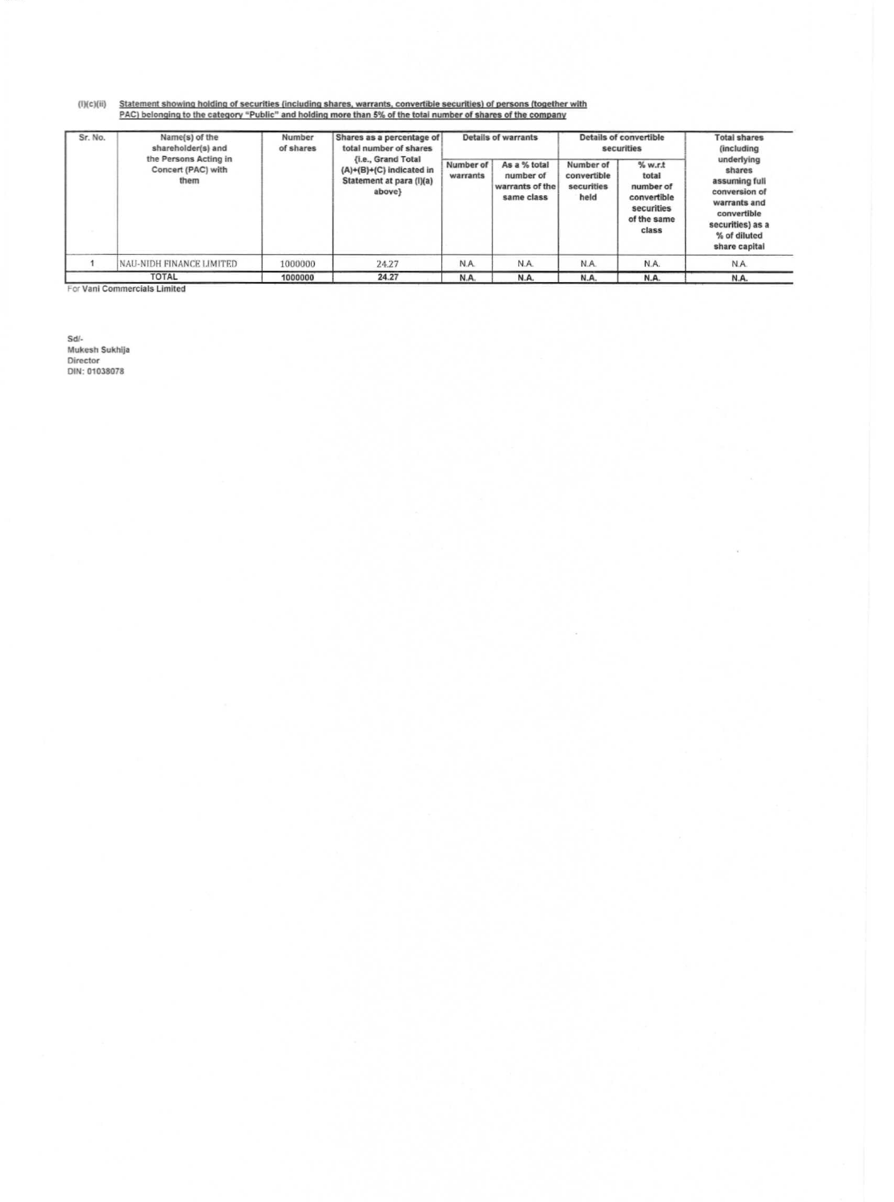(I)(c)(ii) Statement showing holding of securities (including shares, warrants, convertible securities) of persons (together with<br>PAC) belonging to the category "Public" and holding more than 5% of the total number of shar

| Sr. No. | Name(s) of the<br>shareholder(s) and                | Number<br>of shares | Shares as a percentage of<br>total number of shares                                         | <b>Details of warrants</b> |                                                            |                                                | <b>Details of convertible</b><br>securities                                         | <b>Total shares</b><br><i>(including)</i>                                                                                                  |
|---------|-----------------------------------------------------|---------------------|---------------------------------------------------------------------------------------------|----------------------------|------------------------------------------------------------|------------------------------------------------|-------------------------------------------------------------------------------------|--------------------------------------------------------------------------------------------------------------------------------------------|
|         | the Persons Acting in<br>Concert (PAC) with<br>them |                     | <b>{i.e., Grand Total</b><br>(A)+(B)+(C) indicated in<br>Statement at para (I)(a)<br>above} | Number of<br>warrants      | As a % total<br>number of<br>warrants of the<br>same class | Number of<br>convertible<br>securities<br>held | % w.r.t.<br>total<br>number of<br>convertible<br>securities<br>of the same<br>class | underlying<br>shares<br>assuming full<br>conversion of<br>warrants and<br>convertible<br>securities) as a<br>% of diluted<br>share capital |
|         | NAU-NIDH FINANCE LIMITED                            | 1000000             | 24.27                                                                                       | N.A.                       | N.A.                                                       | N.A.                                           | N.A.                                                                                | N.A.                                                                                                                                       |
|         | <b>TOTAL</b>                                        | 1000000             | 24.27                                                                                       | N.A.                       | N.A.                                                       | N.A.                                           | N.A.                                                                                | N.A.                                                                                                                                       |

For Vani Commercials Limited

Sd/-<br>Mukesh Sukhija<br>Director<br>DIN: 01038078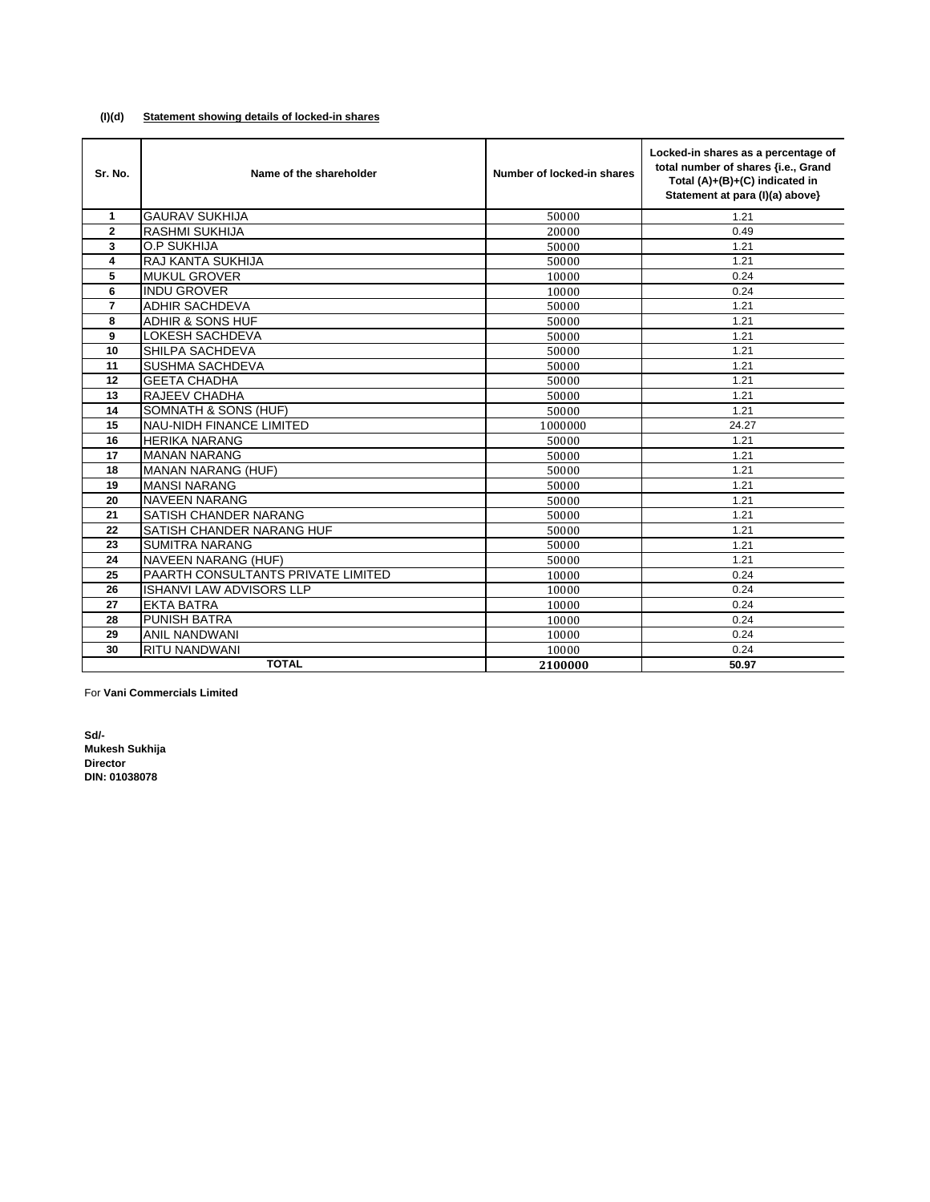#### **(I)(d) Statement showing details of locked-in shares**

| Sr. No.        | Name of the shareholder            | Number of locked-in shares | Locked-in shares as a percentage of<br>total number of shares {i.e., Grand<br>Total (A)+(B)+(C) indicated in<br>Statement at para (I)(a) above} |
|----------------|------------------------------------|----------------------------|-------------------------------------------------------------------------------------------------------------------------------------------------|
| 1              | <b>GAURAV SUKHIJA</b>              | 50000                      | 1.21                                                                                                                                            |
| $\overline{2}$ | <b>RASHMI SUKHIJA</b>              | 20000                      | 0.49                                                                                                                                            |
| 3              | O.P SUKHIJA                        | 50000                      | 1.21                                                                                                                                            |
| 4              | <b>RAJ KANTA SUKHIJA</b>           | 50000                      | 1.21                                                                                                                                            |
| 5              | <b>MUKUL GROVER</b>                | 10000                      | 0.24                                                                                                                                            |
| 6              | <b>INDU GROVER</b>                 | 10000                      | 0.24                                                                                                                                            |
| $\overline{7}$ | <b>ADHIR SACHDEVA</b>              | 50000                      | 1.21                                                                                                                                            |
| 8              | <b>ADHIR &amp; SONS HUF</b>        | 50000                      | 1.21                                                                                                                                            |
| 9              | <b>LOKESH SACHDEVA</b>             | 50000                      | 1.21                                                                                                                                            |
| 10             | SHILPA SACHDEVA                    | 50000                      | 1.21                                                                                                                                            |
| 11             | <b>SUSHMA SACHDEVA</b>             | 50000                      | 1.21                                                                                                                                            |
| 12             | <b>GEETA CHADHA</b>                | 50000                      | 1.21                                                                                                                                            |
| 13             | <b>RAJEEV CHADHA</b>               | 50000                      | 1.21                                                                                                                                            |
| 14             | SOMNATH & SONS (HUF)               | 50000                      | 1.21                                                                                                                                            |
| 15             | <b>NAU-NIDH FINANCE LIMITED</b>    | 1000000                    | 24.27                                                                                                                                           |
| 16             | <b>HERIKA NARANG</b>               | 50000                      | 1.21                                                                                                                                            |
| 17             | <b>MANAN NARANG</b>                | 50000                      | 1.21                                                                                                                                            |
| 18             | <b>MANAN NARANG (HUF)</b>          | 50000                      | 1.21                                                                                                                                            |
| 19             | <b>MANSI NARANG</b>                | 50000                      | 1.21                                                                                                                                            |
| 20             | <b>NAVEEN NARANG</b>               | 50000                      | 1.21                                                                                                                                            |
| 21             | <b>SATISH CHANDER NARANG</b>       | 50000                      | 1.21                                                                                                                                            |
| 22             | <b>SATISH CHANDER NARANG HUF</b>   | 50000                      | 1.21                                                                                                                                            |
| 23             | <b>SUMITRA NARANG</b>              | 50000                      | 1.21                                                                                                                                            |
| 24             | <b>NAVEEN NARANG (HUF)</b>         | 50000                      | 1.21                                                                                                                                            |
| 25             | PAARTH CONSULTANTS PRIVATE LIMITED | 10000                      | 0.24                                                                                                                                            |
| 26             | <b>ISHANVI LAW ADVISORS LLP</b>    | 10000                      | 0.24                                                                                                                                            |
| 27             | <b>EKTA BATRA</b>                  | 10000                      | 0.24                                                                                                                                            |
| 28             | <b>PUNISH BATRA</b>                | 10000                      | 0.24                                                                                                                                            |
| 29             | <b>ANIL NANDWANI</b>               | 10000                      | 0.24                                                                                                                                            |
| 30             | <b>RITU NANDWANI</b>               | 10000                      | 0.24                                                                                                                                            |
|                | <b>TOTAL</b>                       | 2100000                    | 50.97                                                                                                                                           |

For **Vani Commercials Limited**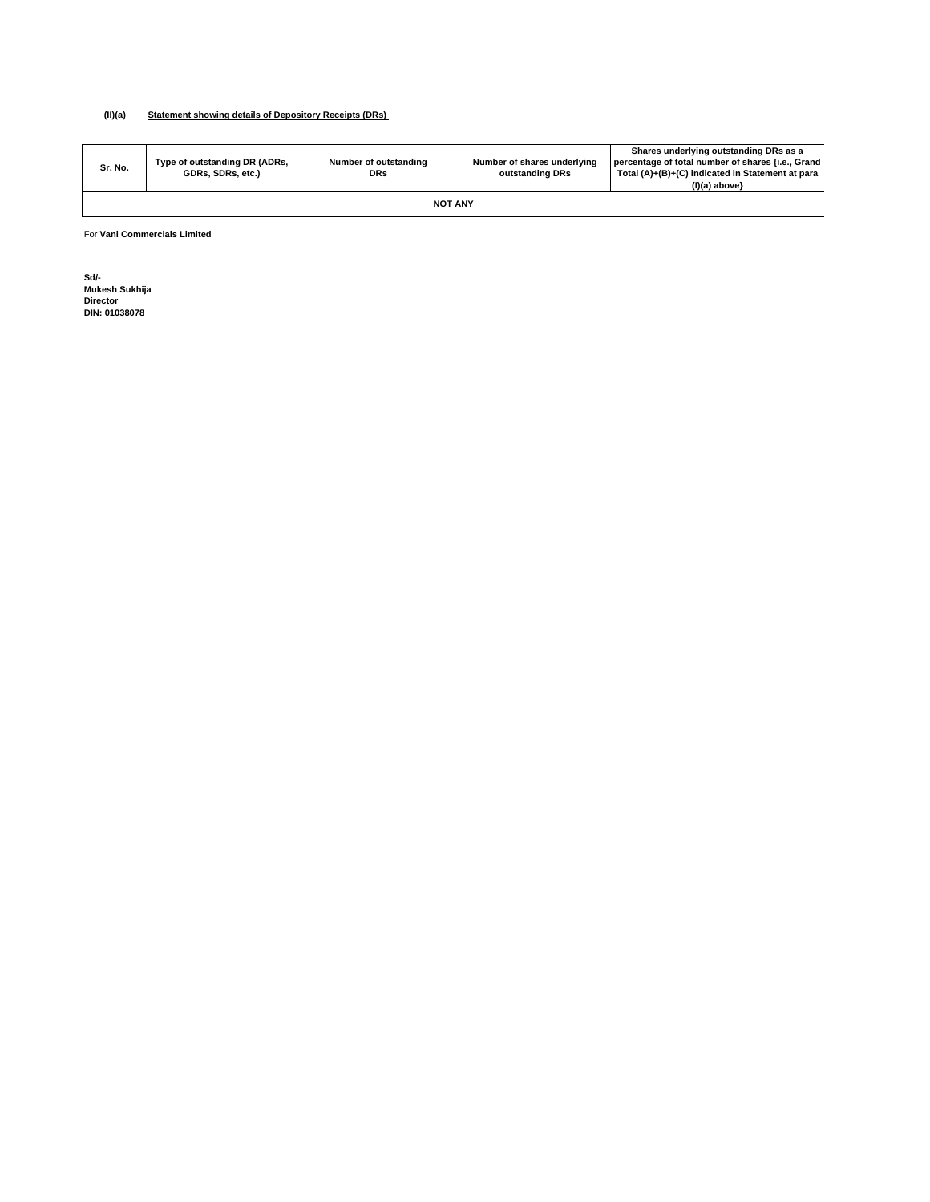#### **(II)(a) Statement showing details of Depository Receipts (DRs)**

| Sr. No. | Type of outstanding DR (ADRs,<br>GDRs, SDRs, etc.) | Number of outstanding<br><b>DRs</b> | Number of shares underlying<br>outstanding DRs | Shares underlying outstanding DRs as a<br>percentage of total number of shares {i.e., Grand<br>Total (A)+(B)+(C) indicated in Statement at para<br>(I)(a) above} |  |  |  |  |  |
|---------|----------------------------------------------------|-------------------------------------|------------------------------------------------|------------------------------------------------------------------------------------------------------------------------------------------------------------------|--|--|--|--|--|
|         | <b>NOT ANY</b>                                     |                                     |                                                |                                                                                                                                                                  |  |  |  |  |  |

For **Vani Commercials Limited**